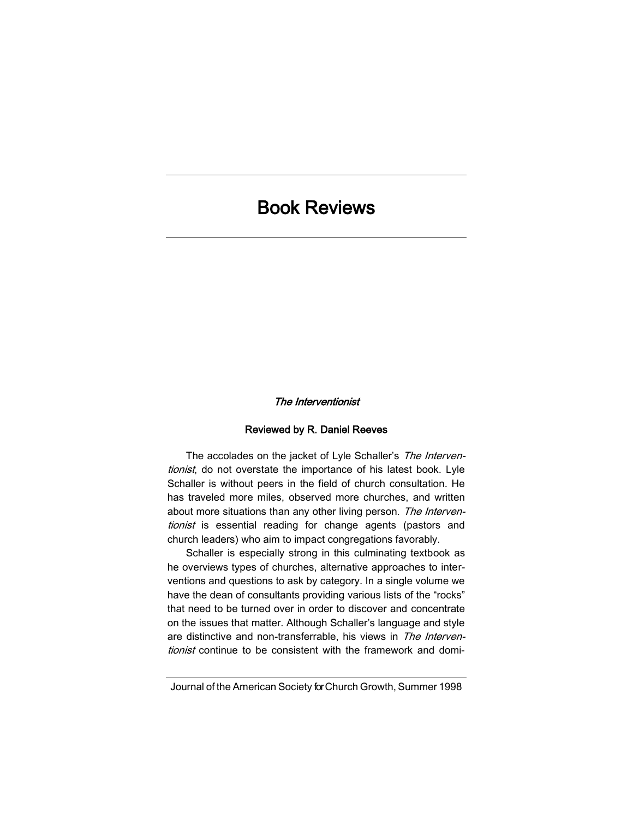## Book Reviews

## The Interventionist

## Reviewed by R. Daniel Reeves

The accolades on the jacket of Lyle Schaller's The Interventionist, do not overstate the importance of his latest book. Lyle Schaller is without peers in the field of church consultation. He has traveled more miles, observed more churches, and written about more situations than any other living person. The Interventionist is essential reading for change agents (pastors and church leaders) who aim to impact congregations favorably.

Schaller is especially strong in this culminating textbook as he overviews types of churches, alternative approaches to interventions and questions to ask by category. In a single volume we have the dean of consultants providing various lists of the "rocks" that need to be turned over in order to discover and concentrate on the issues that matter. Although Schaller's language and style are distinctive and non-transferrable, his views in The Interventionist continue to be consistent with the framework and domi-

Journal of the American Society for Church Growth, Summer 1998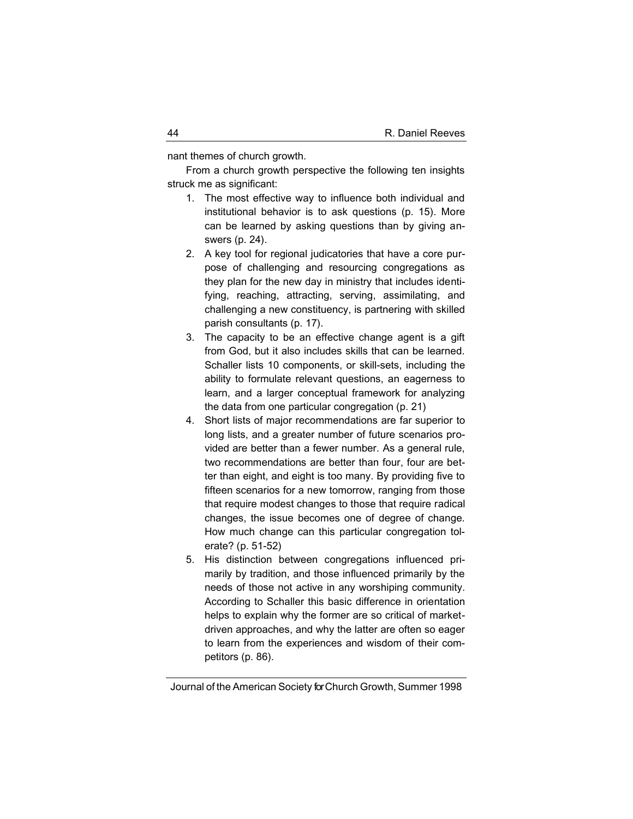nant themes of church growth.

From a church growth perspective the following ten insights struck me as significant:

- 1. The most effective way to influence both individual and institutional behavior is to ask questions (p. 15). More can be learned by asking questions than by giving answers (p. 24).
- 2. A key tool for regional judicatories that have a core purpose of challenging and resourcing congregations as they plan for the new day in ministry that includes identifying, reaching, attracting, serving, assimilating, and challenging a new constituency, is partnering with skilled parish consultants (p. 17).
- 3. The capacity to be an effective change agent is a gift from God, but it also includes skills that can be learned. Schaller lists 10 components, or skill-sets, including the ability to formulate relevant questions, an eagerness to learn, and a larger conceptual framework for analyzing the data from one particular congregation (p. 21)
- 4. Short lists of major recommendations are far superior to long lists, and a greater number of future scenarios provided are better than a fewer number. As a general rule, two recommendations are better than four, four are better than eight, and eight is too many. By providing five to fifteen scenarios for a new tomorrow, ranging from those that require modest changes to those that require radical changes, the issue becomes one of degree of change. How much change can this particular congregation tolerate? (p. 51-52)
- 5. His distinction between congregations influenced primarily by tradition, and those influenced primarily by the needs of those not active in any worshiping community. According to Schaller this basic difference in orientation helps to explain why the former are so critical of marketdriven approaches, and why the latter are often so eager to learn from the experiences and wisdom of their competitors (p. 86).

Journal of the American Society for Church Growth, Summer 1998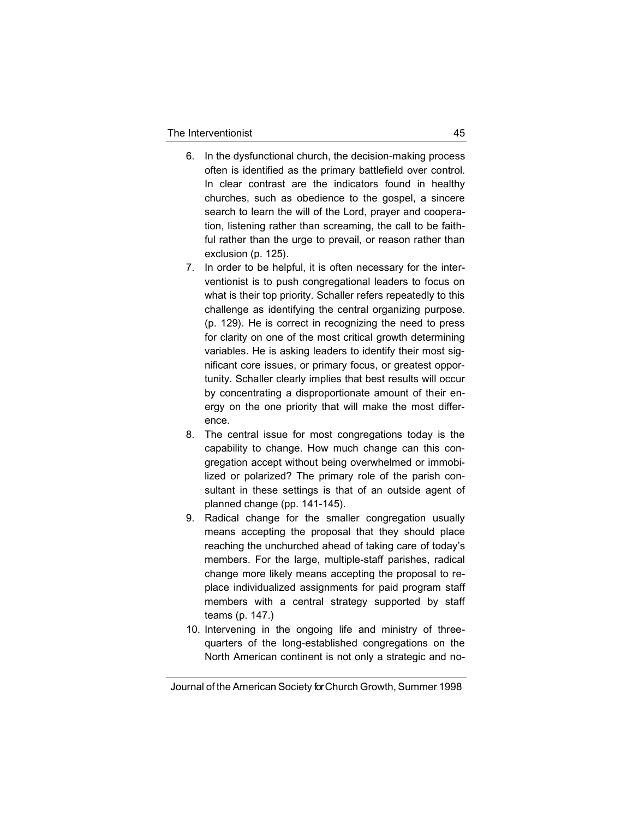- 6. In the dysfunctional church, the decision-making process often is identified as the primary battlefield over control. In clear contrast are the indicators found in healthy churches, such as obedience to the gospel, a sincere search to learn the will of the Lord, prayer and cooperation, listening rather than screaming, the call to be faithful rather than the urge to prevail, or reason rather than exclusion (p. 125).
- 7. In order to be helpful, it is often necessary for the interventionist is to push congregational leaders to focus on what is their top priority. Schaller refers repeatedly to this challenge as identifying the central organizing purpose. (p. 129). He is correct in recognizing the need to press for clarity on one of the most critical growth determining variables. He is asking leaders to identify their most significant core issues, or primary focus, or greatest opportunity. Schaller clearly implies that best results will occur by concentrating a disproportionate amount of their energy on the one priority that will make the most difference.
- 8. The central issue for most congregations today is the capability to change. How much change can this congregation accept without being overwhelmed or immobilized or polarized? The primary role of the parish consultant in these settings is that of an outside agent of planned change (pp. 141-145).
- 9. Radical change for the smaller congregation usually means accepting the proposal that they should place reaching the unchurched ahead of taking care of today's members. For the large, multiple-staff parishes, radical change more likely means accepting the proposal to replace individualized assignments for paid program staff members with a central strategy supported by staff teams (p. 147.)
- 10. Intervening in the ongoing life and ministry of threequarters of the long-established congregations on the North American continent is not only a strategic and no-

Journal of the American Society for Church Growth, Summer 1998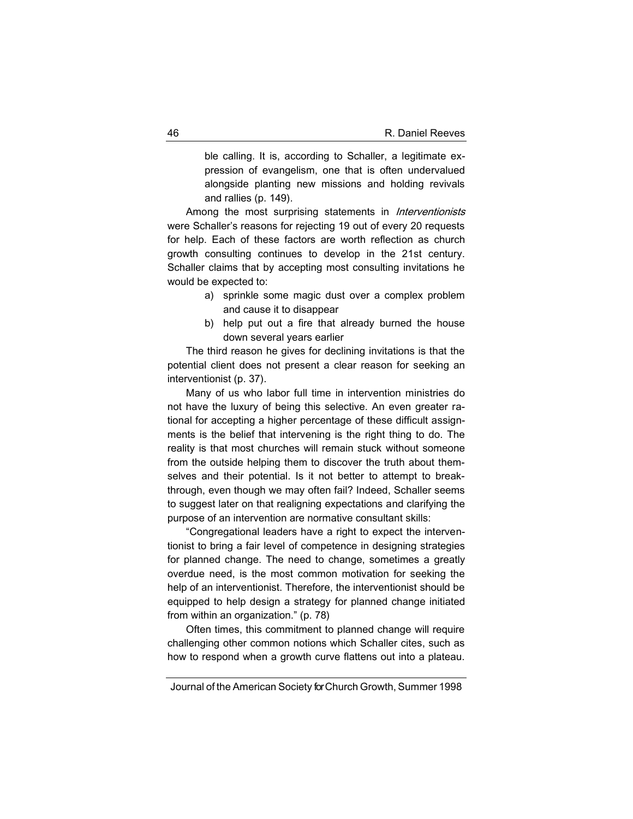ble calling. It is, according to Schaller, a legitimate expression of evangelism, one that is often undervalued alongside planting new missions and holding revivals and rallies (p. 149).

Among the most surprising statements in *Interventionists* were Schaller's reasons for rejecting 19 out of every 20 requests for help. Each of these factors are worth reflection as church growth consulting continues to develop in the 21st century. Schaller claims that by accepting most consulting invitations he would be expected to:

- a) sprinkle some magic dust over a complex problem and cause it to disappear
- b) help put out a fire that already burned the house down several years earlier

The third reason he gives for declining invitations is that the potential client does not present a clear reason for seeking an interventionist (p. 37).

Many of us who labor full time in intervention ministries do not have the luxury of being this selective. An even greater rational for accepting a higher percentage of these difficult assignments is the belief that intervening is the right thing to do. The reality is that most churches will remain stuck without someone from the outside helping them to discover the truth about themselves and their potential. Is it not better to attempt to breakthrough, even though we may often fail? Indeed, Schaller seems to suggest later on that realigning expectations and clarifying the purpose of an intervention are normative consultant skills:

"Congregational leaders have a right to expect the interventionist to bring a fair level of competence in designing strategies for planned change. The need to change, sometimes a greatly overdue need, is the most common motivation for seeking the help of an interventionist. Therefore, the interventionist should be equipped to help design a strategy for planned change initiated from within an organization." (p. 78)

Often times, this commitment to planned change will require challenging other common notions which Schaller cites, such as how to respond when a growth curve flattens out into a plateau.

Journal of the American Society for Church Growth, Summer 1998